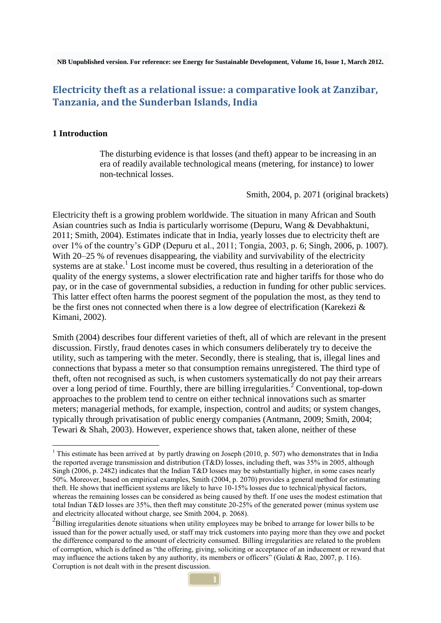**NB Unpublished version. For reference: see Energy for Sustainable Development, [Volume 16, Issue 1,](http://www.sciencedirect.com/science/journal/09730826/16/1) March 2012.**

# **Electricity theft as a relational issue: a comparative look at Zanzibar, Tanzania, and the Sunderban Islands, India**

## **1 Introduction**

 $\overline{a}$ 

The disturbing evidence is that losses (and theft) appear to be increasing in an era of readily available technological means (metering, for instance) to lower non-technical losses.

Smith, 2004, p. 2071 (original brackets)

Electricity theft is a growing problem worldwide. The situation in many African and South Asian countries such as India is particularly worrisome (Depuru, Wang & Devabhaktuni, 2011; Smith, 2004). Estimates indicate that in India, yearly losses due to electricity theft are over 1% of the country's GDP (Depuru et al., 2011; Tongia, 2003, p. 6; Singh, 2006, p. 1007). With 20–25 % of revenues disappearing, the viability and survivability of the electricity systems are at stake.<sup>1</sup> Lost income must be covered, thus resulting in a deterioration of the quality of the energy systems, a slower electrification rate and higher tariffs for those who do pay, or in the case of governmental subsidies, a reduction in funding for other public services. This latter effect often harms the poorest segment of the population the most, as they tend to be the first ones not connected when there is a low degree of electrification (Karekezi & Kimani, 2002).

Smith (2004) describes four different varieties of theft, all of which are relevant in the present discussion. Firstly, fraud denotes cases in which consumers deliberately try to deceive the utility, such as tampering with the meter. Secondly, there is stealing, that is, illegal lines and connections that bypass a meter so that consumption remains unregistered. The third type of theft, often not recognised as such, is when customers systematically do not pay their arrears over a long period of time. Fourthly, there are billing irregularities.<sup>2</sup> Conventional, top-down approaches to the problem tend to centre on either technical innovations such as smarter meters; managerial methods, for example, inspection, control and audits; or system changes, typically through privatisation of public energy companies (Antmann, 2009; Smith, 2004; Tewari & Shah, 2003). However, experience shows that, taken alone, neither of these

<sup>&</sup>lt;sup>1</sup> This estimate has been arrived at by partly drawing on Joseph (2010, p. 507) who demonstrates that in India the reported average transmission and distribution (T&D) losses, including theft, was 35% in 2005, although Singh (2006, p. 2482) indicates that the Indian T&D losses may be substantially higher, in some cases nearly 50%. Moreover, based on empirical examples, Smith (2004, p. 2070) provides a general method for estimating theft. He shows that inefficient systems are likely to have 10-15% losses due to technical/physical factors, whereas the remaining losses can be considered as being caused by theft. If one uses the modest estimation that total Indian T&D losses are 35%, then theft may constitute 20-25% of the generated power (minus system use and electricity allocated without charge, see Smith 2004, p. 2068).

<sup>&</sup>lt;sup>2</sup>Billing irregularities denote situations when utility employees may be bribed to arrange for lower bills to be issued than for the power actually used, or staff may trick customers into paying more than they owe and pocket the difference compared to the amount of electricity consumed. Billing irregularities are related to the problem of corruption, which is defined as "the offering, giving, soliciting or acceptance of an inducement or reward that may influence the actions taken by any authority, its members or officers" (Gulati & Rao, 2007, p. 116). Corruption is not dealt with in the present discussion.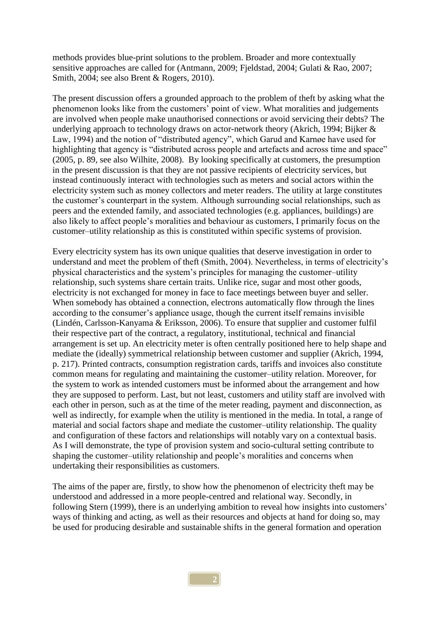methods provides blue-print solutions to the problem. Broader and more contextually sensitive approaches are called for (Antmann, 2009; Fjeldstad, 2004; Gulati & Rao, 2007; Smith, 2004; see also Brent & Rogers, 2010).

The present discussion offers a grounded approach to the problem of theft by asking what the phenomenon looks like from the customers' point of view. What moralities and judgements are involved when people make unauthorised connections or avoid servicing their debts? The underlying approach to technology draws on actor-network theory (Akrich, 1994; Bijker & Law, 1994) and the notion of "distributed agency", which Garud and Karnøe have used for highlighting that agency is "distributed across people and artefacts and across time and space" (2005, p. 89, see also Wilhite, 2008). By looking specifically at customers, the presumption in the present discussion is that they are not passive recipients of electricity services, but instead continuously interact with technologies such as meters and social actors within the electricity system such as money collectors and meter readers. The utility at large constitutes the customer's counterpart in the system. Although surrounding social relationships, such as peers and the extended family, and associated technologies (e.g. appliances, buildings) are also likely to affect people's moralities and behaviour as customers, I primarily focus on the customer–utility relationship as this is constituted within specific systems of provision.

Every electricity system has its own unique qualities that deserve investigation in order to understand and meet the problem of theft (Smith, 2004). Nevertheless, in terms of electricity's physical characteristics and the system's principles for managing the customer–utility relationship, such systems share certain traits. Unlike rice, sugar and most other goods, electricity is not exchanged for money in face to face meetings between buyer and seller. When somebody has obtained a connection, electrons automatically flow through the lines according to the consumer's appliance usage, though the current itself remains invisible (Lindén, Carlsson-Kanyama & Eriksson, 2006). To ensure that supplier and customer fulfil their respective part of the contract, a regulatory, institutional, technical and financial arrangement is set up. An electricity meter is often centrally positioned here to help shape and mediate the (ideally) symmetrical relationship between customer and supplier (Akrich, 1994, p. 217). Printed contracts, consumption registration cards, tariffs and invoices also constitute common means for regulating and maintaining the customer–utility relation. Moreover, for the system to work as intended customers must be informed about the arrangement and how they are supposed to perform. Last, but not least, customers and utility staff are involved with each other in person, such as at the time of the meter reading, payment and disconnection, as well as indirectly, for example when the utility is mentioned in the media. In total, a range of material and social factors shape and mediate the customer–utility relationship. The quality and configuration of these factors and relationships will notably vary on a contextual basis. As I will demonstrate, the type of provision system and socio-cultural setting contribute to shaping the customer–utility relationship and people's moralities and concerns when undertaking their responsibilities as customers.

The aims of the paper are, firstly, to show how the phenomenon of electricity theft may be understood and addressed in a more people-centred and relational way. Secondly, in following Stern (1999), there is an underlying ambition to reveal how insights into customers' ways of thinking and acting, as well as their resources and objects at hand for doing so, may be used for producing desirable and sustainable shifts in the general formation and operation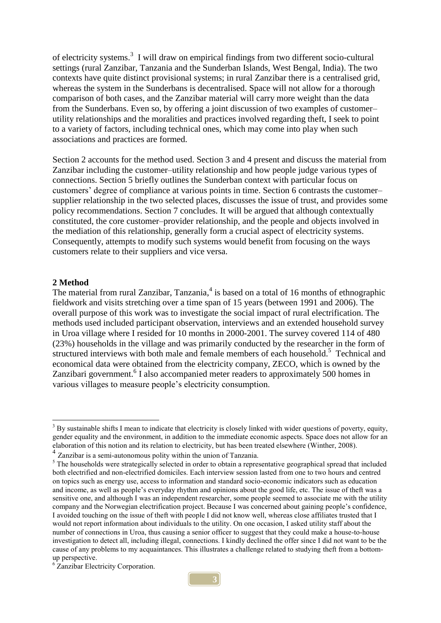of electricity systems.<sup>3</sup> I will draw on empirical findings from two different socio-cultural settings (rural Zanzibar, Tanzania and the Sunderban Islands, West Bengal, India). The two contexts have quite distinct provisional systems; in rural Zanzibar there is a centralised grid, whereas the system in the Sunderbans is decentralised. Space will not allow for a thorough comparison of both cases, and the Zanzibar material will carry more weight than the data from the Sunderbans. Even so, by offering a joint discussion of two examples of customer– utility relationships and the moralities and practices involved regarding theft, I seek to point to a variety of factors, including technical ones, which may come into play when such associations and practices are formed.

Section 2 accounts for the method used. Section 3 and 4 present and discuss the material from Zanzibar including the customer–utility relationship and how people judge various types of connections. Section 5 briefly outlines the Sunderban context with particular focus on customers' degree of compliance at various points in time. Section 6 contrasts the customer– supplier relationship in the two selected places, discusses the issue of trust, and provides some policy recommendations. Section 7 concludes. It will be argued that although contextually constituted, the core customer–provider relationship, and the people and objects involved in the mediation of this relationship, generally form a crucial aspect of electricity systems. Consequently, attempts to modify such systems would benefit from focusing on the ways customers relate to their suppliers and vice versa.

#### **2 Method**

 $\overline{a}$ 

The material from rural Zanzibar, Tanzania,<sup>4</sup> is based on a total of 16 months of ethnographic fieldwork and visits stretching over a time span of 15 years (between 1991 and 2006). The overall purpose of this work was to investigate the social impact of rural electrification. The methods used included participant observation, interviews and an extended household survey in Uroa village where I resided for 10 months in 2000-2001. The survey covered 114 of 480 (23%) households in the village and was primarily conducted by the researcher in the form of structured interviews with both male and female members of each household.<sup>5</sup> Technical and economical data were obtained from the electricity company, ZECO, which is owned by the Zanzibari government.<sup>6</sup> I also accompanied meter readers to approximately 500 homes in various villages to measure people's electricity consumption.

 $3$  By sustainable shifts I mean to indicate that electricity is closely linked with wider questions of poverty, equity, gender equality and the environment, in addition to the immediate economic aspects. Space does not allow for an elaboration of this notion and its relation to electricity, but has been treated elsewhere (Winther, 2008).

<sup>4</sup> Zanzibar is a semi-autonomous polity within the union of Tanzania.

<sup>&</sup>lt;sup>5</sup> The households were strategically selected in order to obtain a representative geographical spread that included both electrified and non-electrified domiciles. Each interview session lasted from one to two hours and centred on topics such as energy use, access to information and standard socio-economic indicators such as education and income, as well as people's everyday rhythm and opinions about the good life, etc. The issue of theft was a sensitive one, and although I was an independent researcher, some people seemed to associate me with the utility company and the Norwegian electrification project. Because I was concerned about gaining people's confidence, I avoided touching on the issue of theft with people I did not know well, whereas close affiliates trusted that I would not report information about individuals to the utility. On one occasion, I asked utility staff about the number of connections in Uroa, thus causing a senior officer to suggest that they could make a house-to-house investigation to detect all, including illegal, connections. I kindly declined the offer since I did not want to be the cause of any problems to my acquaintances. This illustrates a challenge related to studying theft from a bottomup perspective.

<sup>&</sup>lt;sup>6</sup> Zanzibar Electricity Corporation.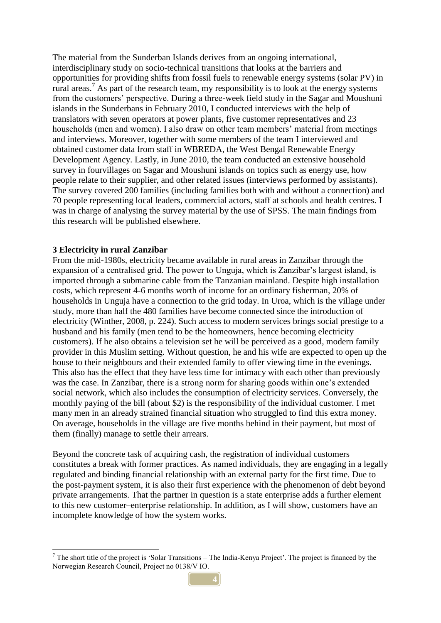The material from the Sunderban Islands derives from an ongoing international, interdisciplinary study on socio-technical transitions that looks at the barriers and opportunities for providing shifts from fossil fuels to renewable energy systems (solar PV) in rural areas.<sup>7</sup> As part of the research team, my responsibility is to look at the energy systems from the customers' perspective. During a three-week field study in the Sagar and Moushuni islands in the Sunderbans in February 2010, I conducted interviews with the help of translators with seven operators at power plants, five customer representatives and 23 households (men and women). I also draw on other team members' material from meetings and interviews. Moreover, together with some members of the team I interviewed and obtained customer data from staff in WBREDA, the West Bengal Renewable Energy Development Agency. Lastly, in June 2010, the team conducted an extensive household survey in fourvillages on Sagar and Moushuni islands on topics such as energy use, how people relate to their supplier, and other related issues (interviews performed by assistants). The survey covered 200 families (including families both with and without a connection) and 70 people representing local leaders, commercial actors, staff at schools and health centres. I was in charge of analysing the survey material by the use of SPSS. The main findings from this research will be published elsewhere.

## **3 Electricity in rural Zanzibar**

 $\overline{a}$ 

From the mid-1980s, electricity became available in rural areas in Zanzibar through the expansion of a centralised grid. The power to Unguja, which is Zanzibar's largest island, is imported through a submarine cable from the Tanzanian mainland. Despite high installation costs, which represent 4-6 months worth of income for an ordinary fisherman, 20% of households in Unguja have a connection to the grid today. In Uroa, which is the village under study, more than half the 480 families have become connected since the introduction of electricity (Winther, 2008, p. 224). Such access to modern services brings social prestige to a husband and his family (men tend to be the homeowners, hence becoming electricity customers). If he also obtains a television set he will be perceived as a good, modern family provider in this Muslim setting. Without question, he and his wife are expected to open up the house to their neighbours and their extended family to offer viewing time in the evenings. This also has the effect that they have less time for intimacy with each other than previously was the case. In Zanzibar, there is a strong norm for sharing goods within one's extended social network, which also includes the consumption of electricity services. Conversely, the monthly paying of the bill (about \$2) is the responsibility of the individual customer. I met many men in an already strained financial situation who struggled to find this extra money. On average, households in the village are five months behind in their payment, but most of them (finally) manage to settle their arrears.

Beyond the concrete task of acquiring cash, the registration of individual customers constitutes a break with former practices. As named individuals, they are engaging in a legally regulated and binding financial relationship with an external party for the first time. Due to the post-payment system, it is also their first experience with the phenomenon of debt beyond private arrangements. That the partner in question is a state enterprise adds a further element to this new customer–enterprise relationship. In addition, as I will show, customers have an incomplete knowledge of how the system works.

 $<sup>7</sup>$  The short title of the project is 'Solar Transitions – The India-Kenya Project'. The project is financed by the</sup> Norwegian Research Council, Project no 0138/V IO.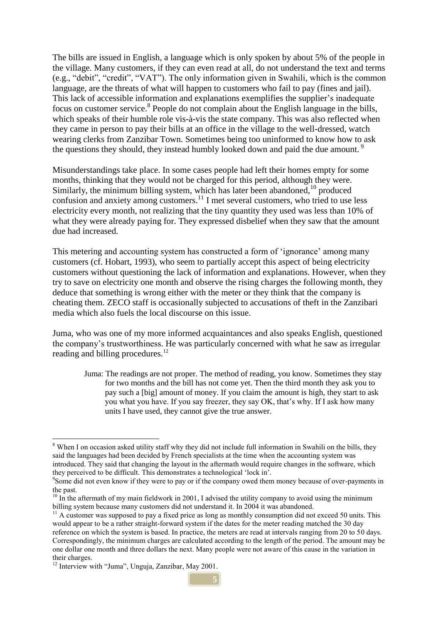The bills are issued in English, a language which is only spoken by about 5% of the people in the village. Many customers, if they can even read at all, do not understand the text and terms (e.g., "debit", "credit", "VAT"). The only information given in Swahili, which is the common language, are the threats of what will happen to customers who fail to pay (fines and jail). This lack of accessible information and explanations exemplifies the supplier's inadequate focus on customer service.<sup>8</sup> People do not complain about the English language in the bills, which speaks of their humble role vis-à-vis the state company. This was also reflected when they came in person to pay their bills at an office in the village to the well-dressed, watch wearing clerks from Zanzibar Town. Sometimes being too uninformed to know how to ask the questions they should, they instead humbly looked down and paid the due amount.<sup>9</sup>

Misunderstandings take place. In some cases people had left their homes empty for some months, thinking that they would not be charged for this period, although they were. Similarly, the minimum billing system, which has later been abandoned, $10$  produced confusion and anxiety among customers.<sup>11</sup> I met several customers, who tried to use less electricity every month, not realizing that the tiny quantity they used was less than 10% of what they were already paying for. They expressed disbelief when they saw that the amount due had increased.

This metering and accounting system has constructed a form of 'ignorance' among many customers (cf. Hobart, 1993), who seem to partially accept this aspect of being electricity customers without questioning the lack of information and explanations. However, when they try to save on electricity one month and observe the rising charges the following month, they deduce that something is wrong either with the meter or they think that the company is cheating them. ZECO staff is occasionally subjected to accusations of theft in the Zanzibari media which also fuels the local discourse on this issue.

Juma, who was one of my more informed acquaintances and also speaks English, questioned the company's trustworthiness. He was particularly concerned with what he saw as irregular reading and billing procedures.<sup>12</sup>

Juma: The readings are not proper. The method of reading, you know. Sometimes they stay for two months and the bill has not come yet. Then the third month they ask you to pay such a [big] amount of money. If you claim the amount is high, they start to ask you what you have. If you say freezer, they say OK, that's why. If I ask how many units I have used, they cannot give the true answer.

 $\overline{a}$ 

**5**

<sup>&</sup>lt;sup>8</sup> When I on occasion asked utility staff why they did not include full information in Swahili on the bills, they said the languages had been decided by French specialists at the time when the accounting system was introduced. They said that changing the layout in the aftermath would require changes in the software, which they perceived to be difficult. This demonstrates a technological 'lock in'.

<sup>&</sup>lt;sup>9</sup>Some did not even know if they were to pay or if the company owed them money because of over-payments in the past.

 $10 \text{ In the aftermath of my main field work in 2001, I advised the utility company to avoid using the minimum.}$ billing system because many customers did not understand it. In 2004 it was abandoned.

 $11$  A customer was supposed to pay a fixed price as long as monthly consumption did not exceed 50 units. This would appear to be a rather straight-forward system if the dates for the meter reading matched the 30 day reference on which the system is based. In practice, the meters are read at intervals ranging from 20 to 50 days. Correspondingly, the minimum charges are calculated according to the length of the period. The amount may be one dollar one month and three dollars the next. Many people were not aware of this cause in the variation in their charges.

<sup>&</sup>lt;sup>12</sup> Interview with "Juma", Unguja, Zanzibar, May 2001.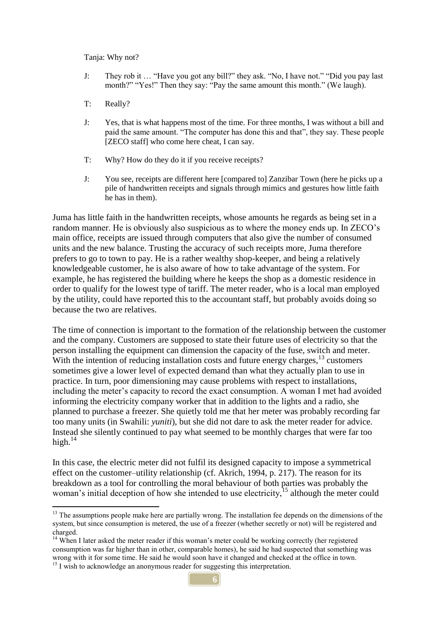Tanja: Why not?

- J: They rob it … "Have you got any bill?" they ask. "No, I have not." "Did you pay last month?" "Yes!" Then they say: "Pay the same amount this month." (We laugh).
- T: Really?

 $\overline{a}$ 

- J: Yes, that is what happens most of the time. For three months, I was without a bill and paid the same amount. "The computer has done this and that", they say. These people [ZECO staff] who come here cheat, I can say.
- T: Why? How do they do it if you receive receipts?
- J: You see, receipts are different here [compared to] Zanzibar Town (here he picks up a pile of handwritten receipts and signals through mimics and gestures how little faith he has in them).

Juma has little faith in the handwritten receipts, whose amounts he regards as being set in a random manner. He is obviously also suspicious as to where the money ends up. In ZECO's main office, receipts are issued through computers that also give the number of consumed units and the new balance. Trusting the accuracy of such receipts more, Juma therefore prefers to go to town to pay. He is a rather wealthy shop-keeper, and being a relatively knowledgeable customer, he is also aware of how to take advantage of the system. For example, he has registered the building where he keeps the shop as a domestic residence in order to qualify for the lowest type of tariff. The meter reader, who is a local man employed by the utility, could have reported this to the accountant staff, but probably avoids doing so because the two are relatives.

The time of connection is important to the formation of the relationship between the customer and the company. Customers are supposed to state their future uses of electricity so that the person installing the equipment can dimension the capacity of the fuse, switch and meter. With the intention of reducing installation costs and future energy charges,  $^{13}$  customers sometimes give a lower level of expected demand than what they actually plan to use in practice. In turn, poor dimensioning may cause problems with respect to installations, including the meter's capacity to record the exact consumption. A woman I met had avoided informing the electricity company worker that in addition to the lights and a radio, she planned to purchase a freezer. She quietly told me that her meter was probably recording far too many units (in Swahili: *yuniti*), but she did not dare to ask the meter reader for advice. Instead she silently continued to pay what seemed to be monthly charges that were far too high. $14$ 

In this case, the electric meter did not fulfil its designed capacity to impose a symmetrical effect on the customer–utility relationship (cf. Akrich, 1994, p. 217). The reason for its breakdown as a tool for controlling the moral behaviour of both parties was probably the woman's initial deception of how she intended to use electricity,<sup>15</sup> although the meter could

 $<sup>13</sup>$  The assumptions people make here are partially wrong. The installation fee depends on the dimensions of the</sup> system, but since consumption is metered, the use of a freezer (whether secretly or not) will be registered and charged.

<sup>&</sup>lt;sup>14</sup> When I later asked the meter reader if this woman's meter could be working correctly (her registered consumption was far higher than in other, comparable homes), he said he had suspected that something was wrong with it for some time. He said he would soon have it changed and checked at the office in town. <sup>15</sup> I wish to acknowledge an anonymous reader for suggesting this interpretation.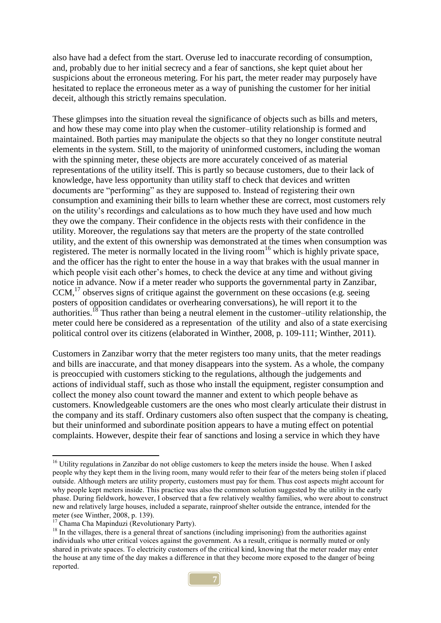also have had a defect from the start. Overuse led to inaccurate recording of consumption, and, probably due to her initial secrecy and a fear of sanctions, she kept quiet about her suspicions about the erroneous metering. For his part, the meter reader may purposely have hesitated to replace the erroneous meter as a way of punishing the customer for her initial deceit, although this strictly remains speculation.

These glimpses into the situation reveal the significance of objects such as bills and meters, and how these may come into play when the customer–utility relationship is formed and maintained. Both parties may manipulate the objects so that they no longer constitute neutral elements in the system. Still, to the majority of uninformed customers, including the woman with the spinning meter, these objects are more accurately conceived of as material representations of the utility itself. This is partly so because customers, due to their lack of knowledge, have less opportunity than utility staff to check that devices and written documents are "performing" as they are supposed to. Instead of registering their own consumption and examining their bills to learn whether these are correct, most customers rely on the utility's recordings and calculations as to how much they have used and how much they owe the company. Their confidence in the objects rests with their confidence in the utility. Moreover, the regulations say that meters are the property of the state controlled utility, and the extent of this ownership was demonstrated at the times when consumption was registered. The meter is normally located in the living room<sup>16</sup> which is highly private space, and the officer has the right to enter the house in a way that brakes with the usual manner in which people visit each other's homes, to check the device at any time and without giving notice in advance. Now if a meter reader who supports the governmental party in Zanzibar, CCM, <sup>17</sup> observes signs of critique against the government on these occasions (e.g. seeing posters of opposition candidates or overhearing conversations), he will report it to the authorities.<sup>18</sup> Thus rather than being a neutral element in the customer–utility relationship, the meter could here be considered as a representation of the utility and also of a state exercising political control over its citizens (elaborated in Winther, 2008, p. 109-111; Winther, 2011).

Customers in Zanzibar worry that the meter registers too many units, that the meter readings and bills are inaccurate, and that money disappears into the system. As a whole, the company is preoccupied with customers sticking to the regulations, although the judgements and actions of individual staff, such as those who install the equipment, register consumption and collect the money also count toward the manner and extent to which people behave as customers. Knowledgeable customers are the ones who most clearly articulate their distrust in the company and its staff. Ordinary customers also often suspect that the company is cheating, but their uninformed and subordinate position appears to have a muting effect on potential complaints. However, despite their fear of sanctions and losing a service in which they have

<sup>&</sup>lt;sup>16</sup> Utility regulations in Zanzibar do not oblige customers to keep the meters inside the house. When I asked people why they kept them in the living room, many would refer to their fear of the meters being stolen if placed outside. Although meters are utility property, customers must pay for them. Thus cost aspects might account for why people kept meters inside. This practice was also the common solution suggested by the utility in the early phase. During fieldwork, however, I observed that a few relatively wealthy families, who were about to construct new and relatively large houses, included a separate, rainproof shelter outside the entrance, intended for the meter (see Winther, 2008, p. 139).

<sup>&</sup>lt;sup>17</sup> Chama Cha Mapinduzi (Revolutionary Party).

<sup>&</sup>lt;sup>18</sup> In the villages, there is a general threat of sanctions (including imprisoning) from the authorities against individuals who utter critical voices against the government. As a result, critique is normally muted or only shared in private spaces. To electricity customers of the critical kind, knowing that the meter reader may enter the house at any time of the day makes a difference in that they become more exposed to the danger of being reported.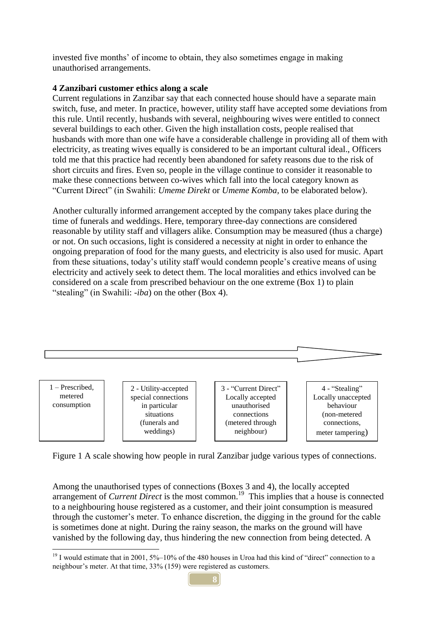invested five months' of income to obtain, they also sometimes engage in making unauthorised arrangements.

# **4 Zanzibari customer ethics along a scale**

Current regulations in Zanzibar say that each connected house should have a separate main switch, fuse, and meter. In practice, however, utility staff have accepted some deviations from this rule. Until recently, husbands with several, neighbouring wives were entitled to connect several buildings to each other. Given the high installation costs, people realised that husbands with more than one wife have a considerable challenge in providing all of them with electricity, as treating wives equally is considered to be an important cultural ideal., Officers told me that this practice had recently been abandoned for safety reasons due to the risk of short circuits and fires. Even so, people in the village continue to consider it reasonable to make these connections between co-wives which fall into the local category known as "Current Direct" (in Swahili: *Umeme Direkt* or *Umeme Komba,* to be elaborated below).

Another culturally informed arrangement accepted by the company takes place during the time of funerals and weddings. Here, temporary three-day connections are considered reasonable by utility staff and villagers alike. Consumption may be measured (thus a charge) or not. On such occasions, light is considered a necessity at night in order to enhance the ongoing preparation of food for the many guests, and electricity is also used for music. Apart from these situations, today's utility staff would condemn people's creative means of using electricity and actively seek to detect them. The local moralities and ethics involved can be considered on a scale from prescribed behaviour on the one extreme (Box 1) to plain "stealing" (in Swahili: *-iba*) on the other (Box 4).



Figure 1 A scale showing how people in rural Zanzibar judge various types of connections.

Among the unauthorised types of connections (Boxes 3 and 4), the locally accepted arrangement of *Current Direct* is the most common.<sup>19</sup> This implies that a house is connected to a neighbouring house registered as a customer, and their joint consumption is measured through the customer's meter. To enhance discretion, the digging in the ground for the cable is sometimes done at night. During the rainy season, the marks on the ground will have vanished by the following day, thus hindering the new connection from being detected. A

 $19$  I would estimate that in 2001, 5%–10% of the 480 houses in Uroa had this kind of "direct" connection to a neighbour's meter. At that time, 33% (159) were registered as customers.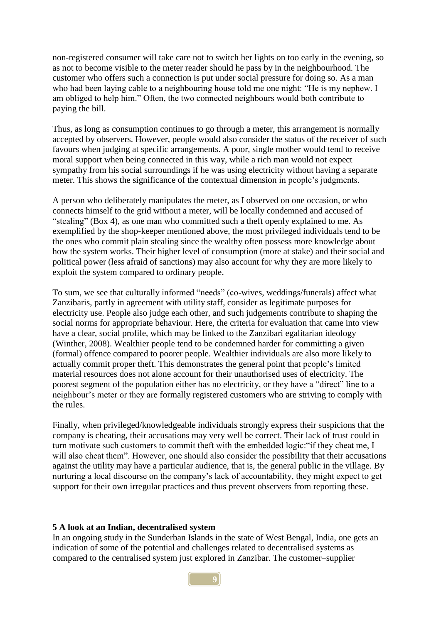non-registered consumer will take care not to switch her lights on too early in the evening, so as not to become visible to the meter reader should he pass by in the neighbourhood. The customer who offers such a connection is put under social pressure for doing so. As a man who had been laying cable to a neighbouring house told me one night: "He is my nephew. I am obliged to help him." Often, the two connected neighbours would both contribute to paying the bill.

Thus, as long as consumption continues to go through a meter, this arrangement is normally accepted by observers. However, people would also consider the status of the receiver of such favours when judging at specific arrangements. A poor, single mother would tend to receive moral support when being connected in this way, while a rich man would not expect sympathy from his social surroundings if he was using electricity without having a separate meter. This shows the significance of the contextual dimension in people's judgments.

A person who deliberately manipulates the meter, as I observed on one occasion, or who connects himself to the grid without a meter, will be locally condemned and accused of "stealing" (Box 4), as one man who committed such a theft openly explained to me. As exemplified by the shop-keeper mentioned above, the most privileged individuals tend to be the ones who commit plain stealing since the wealthy often possess more knowledge about how the system works. Their higher level of consumption (more at stake) and their social and political power (less afraid of sanctions) may also account for why they are more likely to exploit the system compared to ordinary people.

To sum, we see that culturally informed "needs" (co-wives, weddings/funerals) affect what Zanzibaris, partly in agreement with utility staff, consider as legitimate purposes for electricity use. People also judge each other, and such judgements contribute to shaping the social norms for appropriate behaviour. Here, the criteria for evaluation that came into view have a clear, social profile, which may be linked to the Zanzibari egalitarian ideology (Winther, 2008). Wealthier people tend to be condemned harder for committing a given (formal) offence compared to poorer people. Wealthier individuals are also more likely to actually commit proper theft. This demonstrates the general point that people's limited material resources does not alone account for their unauthorised uses of electricity. The poorest segment of the population either has no electricity, or they have a "direct" line to a neighbour's meter or they are formally registered customers who are striving to comply with the rules.

Finally, when privileged/knowledgeable individuals strongly express their suspicions that the company is cheating, their accusations may very well be correct. Their lack of trust could in turn motivate such customers to commit theft with the embedded logic:"if they cheat me, I will also cheat them". However, one should also consider the possibility that their accusations against the utility may have a particular audience, that is, the general public in the village. By nurturing a local discourse on the company's lack of accountability, they might expect to get support for their own irregular practices and thus prevent observers from reporting these.

#### **5 A look at an Indian, decentralised system**

In an ongoing study in the Sunderban Islands in the state of West Bengal, India, one gets an indication of some of the potential and challenges related to decentralised systems as compared to the centralised system just explored in Zanzibar. The customer–supplier

**9**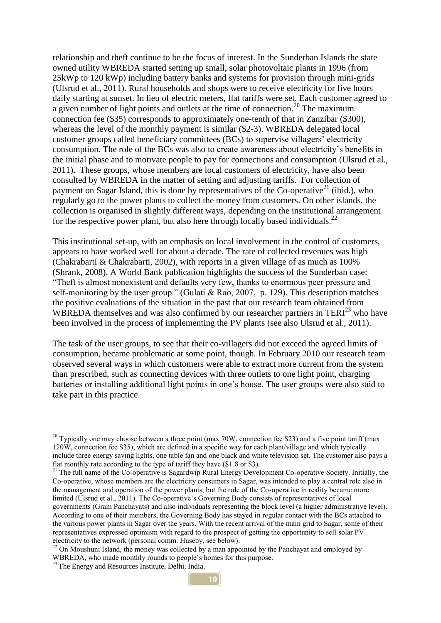relationship and theft continue to be the focus of interest. In the Sunderban Islands the state owned utility WBREDA started setting up small, solar photovoltaic plants in 1996 (from 25kWp to 120 kWp) including battery banks and systems for provision through mini-grids (Ulsrud et al., 2011). Rural households and shops were to receive electricity for five hours daily starting at sunset. In lieu of electric meters, flat tariffs were set. Each customer agreed to a given number of light points and outlets at the time of connection.<sup>20</sup> The maximum connection fee (\$35) corresponds to approximately one-tenth of that in Zanzibar (\$300), whereas the level of the monthly payment is similar (\$2-3). WBREDA delegated local customer groups called beneficiary committees (BCs) to supervise villagers' electricity consumption. The role of the BCs was also to create awareness about electricity's benefits in the initial phase and to motivate people to pay for connections and consumption (Ulsrud et al., 2011). These groups, whose members are local customers of electricity, have also been consulted by WBREDA in the matter of setting and adjusting tariffs. For collection of payment on Sagar Island, this is done by representatives of the Co-operative<sup>21</sup> (ibid.), who regularly go to the power plants to collect the money from customers. On other islands, the collection is organised in slightly different ways, depending on the institutional arrangement for the respective power plant, but also here through locally based individuals.<sup>22</sup>

This institutional set-up, with an emphasis on local involvement in the control of customers, appears to have worked well for about a decade. The rate of collected revenues was high (Chakrabarti & Chakrabarti, 2002), with reports in a given village of as much as 100% (Shrank, 2008). A World Bank publication highlights the success of the Sunderban case: "Theft is almost nonexistent and defaults very few, thanks to enormous peer pressure and self-monitoring by the user group." (Gulati  $& Rao, 2007$ , p. 129). This description matches the positive evaluations of the situation in the past that our research team obtained from WBREDA themselves and was also confirmed by our researcher partners in  $TERI<sup>23</sup>$  who have been involved in the process of implementing the PV plants (see also Ulsrud et al., 2011).

The task of the user groups, to see that their co-villagers did not exceed the agreed limits of consumption, became problematic at some point, though. In February 2010 our research team observed several ways in which customers were able to extract more current from the system than prescribed, such as connecting devices with three outlets to one light point, charging batteries or installing additional light points in one's house. The user groups were also said to take part in this practice.

<sup>&</sup>lt;sup>20</sup> Typically one may choose between a three point (max 70W, connection fee \$23) and a five point tariff (max 120W, connection fee \$35), which are defined in a specific way for each plant/village and which typically include three energy saving lights, one table fan and one black and white television set. The customer also pays a flat monthly rate according to the type of tariff they have (\$1.8 or \$3).

<sup>&</sup>lt;sup>21</sup> The full name of the Co-operative is Sagardwip Rural Energy Development Co-operative Society. Initially, the Co-operative, whose members are the electricity consumers in Sagar, was intended to play a central role also in the management and operation of the power plants, but the role of the Co-operative in reality became more limited (Ulsrud et al., 2011). The Co-operative's Governing Body consists of representatives of local governments (Gram Panchayats) and also individuals representing the block level (a higher administrative level). According to one of their members, the Governing Body has stayed in regular contact with the BCs attached to the various power plants in Sagar over the years. With the recent arrival of the main grid to Sagar, some of their representatives expressed optimism with regard to the prospect of getting the opportunity to sell solar PV electricity to the network (personal comm. Huseby, see below).

<sup>&</sup>lt;sup>22</sup> On Moushuni Island, the money was collected by a man appointed by the Panchayat and employed by WBREDA, who made monthly rounds to people's homes for this purpose.

<sup>&</sup>lt;sup>23</sup> The Energy and Resources Institute, Delhi, India.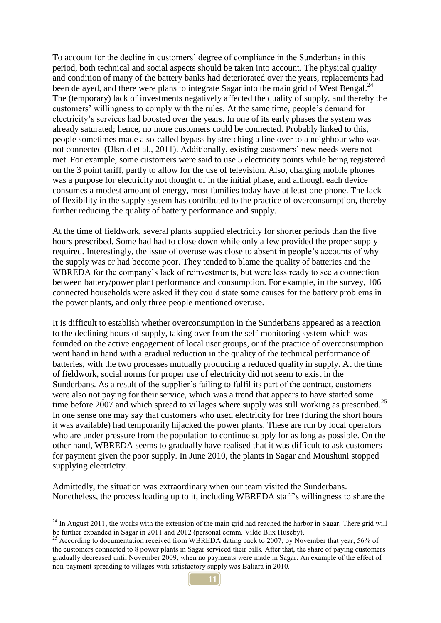To account for the decline in customers' degree of compliance in the Sunderbans in this period, both technical and social aspects should be taken into account. The physical quality and condition of many of the battery banks had deteriorated over the years, replacements had been delayed, and there were plans to integrate Sagar into the main grid of West Bengal.<sup>24</sup> The (temporary) lack of investments negatively affected the quality of supply, and thereby the customers' willingness to comply with the rules. At the same time, people's demand for electricity's services had boosted over the years. In one of its early phases the system was already saturated; hence, no more customers could be connected. Probably linked to this, people sometimes made a so-called bypass by stretching a line over to a neighbour who was not connected (Ulsrud et al., 2011). Additionally, existing customers' new needs were not met. For example, some customers were said to use 5 electricity points while being registered on the 3 point tariff, partly to allow for the use of television. Also, charging mobile phones was a purpose for electricity not thought of in the initial phase, and although each device consumes a modest amount of energy, most families today have at least one phone. The lack of flexibility in the supply system has contributed to the practice of overconsumption, thereby further reducing the quality of battery performance and supply.

At the time of fieldwork, several plants supplied electricity for shorter periods than the five hours prescribed. Some had had to close down while only a few provided the proper supply required. Interestingly, the issue of overuse was close to absent in people's accounts of why the supply was or had become poor. They tended to blame the quality of batteries and the WBREDA for the company's lack of reinvestments, but were less ready to see a connection between battery/power plant performance and consumption. For example, in the survey, 106 connected households were asked if they could state some causes for the battery problems in the power plants, and only three people mentioned overuse.

It is difficult to establish whether overconsumption in the Sunderbans appeared as a reaction to the declining hours of supply, taking over from the self-monitoring system which was founded on the active engagement of local user groups, or if the practice of overconsumption went hand in hand with a gradual reduction in the quality of the technical performance of batteries, with the two processes mutually producing a reduced quality in supply. At the time of fieldwork, social norms for proper use of electricity did not seem to exist in the Sunderbans. As a result of the supplier's failing to fulfil its part of the contract, customers were also not paying for their service, which was a trend that appears to have started some time before 2007 and which spread to villages where supply was still working as prescribed.<sup>25</sup> In one sense one may say that customers who used electricity for free (during the short hours it was available) had temporarily hijacked the power plants. These are run by local operators who are under pressure from the population to continue supply for as long as possible. On the other hand, WBREDA seems to gradually have realised that it was difficult to ask customers for payment given the poor supply. In June 2010, the plants in Sagar and Moushuni stopped supplying electricity.

Admittedly, the situation was extraordinary when our team visited the Sunderbans. Nonetheless, the process leading up to it, including WBREDA staff's willingness to share the

 $2<sup>24</sup>$  In August 2011, the works with the extension of the main grid had reached the harbor in Sagar. There grid will be further expanded in Sagar in 2011 and 2012 (personal comm. Vilde Blix Huseby).

<sup>&</sup>lt;sup>25</sup> According to documentation received from WBREDA dating back to 2007, by November that year, 56% of the customers connected to 8 power plants in Sagar serviced their bills. After that, the share of paying customers gradually decreased until November 2009, when no payments were made in Sagar. An example of the effect of non-payment spreading to villages with satisfactory supply was Baliara in 2010.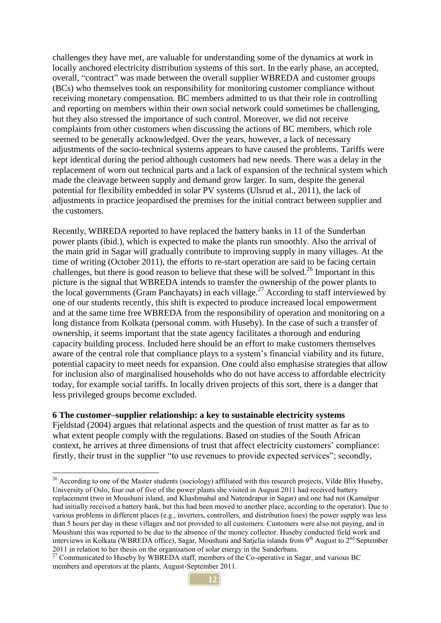challenges they have met, are valuable for understanding some of the dynamics at work in locally anchored electricity distribution systems of this sort. In the early phase, an accepted, overall, "contract" was made between the overall supplier WBREDA and customer groups (BCs) who themselves took on responsibility for monitoring customer compliance without receiving monetary compensation. BC members admitted to us that their role in controlling and reporting on members within their own social network could sometimes be challenging, but they also stressed the importance of such control. Moreover, we did not receive complaints from other customers when discussing the actions of BC members, which role seemed to be generally acknowledged. Over the years, however, a lack of necessary adjustments of the socio-technical systems appears to have caused the problems. Tariffs were kept identical during the period although customers had new needs. There was a delay in the replacement of worn out technical parts and a lack of expansion of the technical system which made the cleavage between supply and demand grow larger. In sum, despite the general potential for flexibility embedded in solar PV systems (Ulsrud et al., 2011), the lack of adjustments in practice jeopardised the premises for the initial contract between supplier and the customers.

Recently, WBREDA reported to have replaced the battery banks in 11 of the Sunderban power plants (ibid.), which is expected to make the plants run smoothly. Also the arrival of the main grid in Sagar will gradually contribute to improving supply in many villages. At the time of writing (October 2011), the efforts to re-start operation are said to be facing certain challenges, but there is good reason to believe that these will be solved.<sup>26</sup> Important in this picture is the signal that WBREDA intends to transfer the ownership of the power plants to the local governments (Gram Panchayats) in each village.<sup>27</sup> According to staff interviewed by one of our students recently, this shift is expected to produce increased local empowerment and at the same time free WBREDA from the responsibility of operation and monitoring on a long distance from Kolkata (personal comm. with Huseby). In the case of such a transfer of ownership, it seems important that the state agency facilitates a thorough and enduring capacity building process. Included here should be an effort to make customers themselves aware of the central role that compliance plays to a system's financial viability and its future, potential capacity to meet needs for expansion. One could also emphasise strategies that allow for inclusion also of marginalised households who do not have access to affordable electricity today, for example social tariffs. In locally driven projects of this sort, there is a danger that less privileged groups become excluded.

#### **6 The customer–supplier relationship: a key to sustainable electricity systems**

 $\overline{a}$ 

Fjeldstad (2004) argues that relational aspects and the question of trust matter as far as to what extent people comply with the regulations. Based on studies of the South African context, he arrives at three dimensions of trust that affect electricity customers' compliance: firstly, their trust in the supplier "to use revenues to provide expected services"; secondly,

 $^{26}$  According to one of the Master students (sociology) affiliated with this research projects, Vilde Blix Huseby, University of Oslo, four out of five of the power plants she visited in August 2011 had received battery replacement (two in Moushuni island, and Khashmahal and Natendrapur in Sagar) and one had not (Kamalpur had initially received a battery bank, but this had been moved to another place, according to the operator). Due to various problems in different places (e.g., inverters, controllers, and distribution lines) the power supply was less than 5 hours per day in these villages and not provided to all customers. Customers were also not paying, and in Moushuni this was reported to be due to the absence of the money collector. Huseby conducted field work and interviews in Kolkata (WBREDA office), Sagar, Moushuni and Satjelia islands from 9<sup>th</sup> August to 2<sup>nd</sup> September 2011 in relation to her thesis on the organisation of solar energy in the Sunderbans.

<sup>&</sup>lt;sup>27</sup> Communicated to Huseby by WBREDA staff, members of the Co-operative in Sagar, and various BC members and operators at the plants, August-September 2011.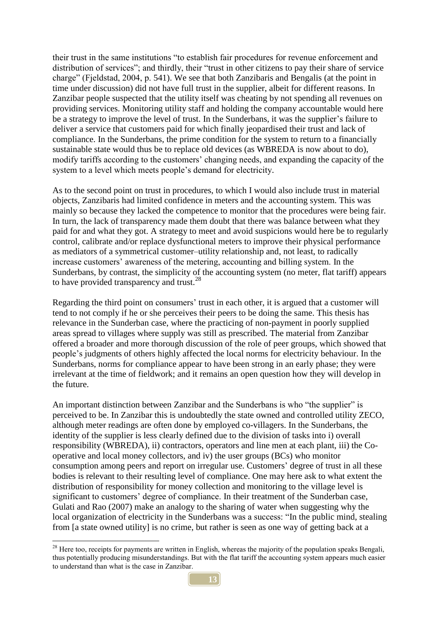their trust in the same institutions "to establish fair procedures for revenue enforcement and distribution of services"; and thirdly, their "trust in other citizens to pay their share of service charge" (Fjeldstad, 2004, p. 541). We see that both Zanzibaris and Bengalis (at the point in time under discussion) did not have full trust in the supplier, albeit for different reasons. In Zanzibar people suspected that the utility itself was cheating by not spending all revenues on providing services. Monitoring utility staff and holding the company accountable would here be a strategy to improve the level of trust. In the Sunderbans, it was the supplier's failure to deliver a service that customers paid for which finally jeopardised their trust and lack of compliance. In the Sunderbans, the prime condition for the system to return to a financially sustainable state would thus be to replace old devices (as WBREDA is now about to do), modify tariffs according to the customers' changing needs, and expanding the capacity of the system to a level which meets people's demand for electricity.

As to the second point on trust in procedures, to which I would also include trust in material objects, Zanzibaris had limited confidence in meters and the accounting system. This was mainly so because they lacked the competence to monitor that the procedures were being fair. In turn, the lack of transparency made them doubt that there was balance between what they paid for and what they got. A strategy to meet and avoid suspicions would here be to regularly control, calibrate and/or replace dysfunctional meters to improve their physical performance as mediators of a symmetrical customer–utility relationship and, not least, to radically increase customers' awareness of the metering, accounting and billing system. In the Sunderbans, by contrast, the simplicity of the accounting system (no meter, flat tariff) appears to have provided transparency and trust.<sup>28</sup>

Regarding the third point on consumers' trust in each other, it is argued that a customer will tend to not comply if he or she perceives their peers to be doing the same. This thesis has relevance in the Sunderban case, where the practicing of non-payment in poorly supplied areas spread to villages where supply was still as prescribed. The material from Zanzibar offered a broader and more thorough discussion of the role of peer groups, which showed that people's judgments of others highly affected the local norms for electricity behaviour. In the Sunderbans, norms for compliance appear to have been strong in an early phase; they were irrelevant at the time of fieldwork; and it remains an open question how they will develop in the future.

An important distinction between Zanzibar and the Sunderbans is who "the supplier" is perceived to be. In Zanzibar this is undoubtedly the state owned and controlled utility ZECO, although meter readings are often done by employed co-villagers. In the Sunderbans, the identity of the supplier is less clearly defined due to the division of tasks into i) overall responsibility (WBREDA), ii) contractors, operators and line men at each plant, iii) the Cooperative and local money collectors, and iv) the user groups (BCs) who monitor consumption among peers and report on irregular use. Customers' degree of trust in all these bodies is relevant to their resulting level of compliance. One may here ask to what extent the distribution of responsibility for money collection and monitoring to the village level is significant to customers' degree of compliance. In their treatment of the Sunderban case, Gulati and Rao (2007) make an analogy to the sharing of water when suggesting why the local organization of electricity in the Sunderbans was a success: "In the public mind, stealing from [a state owned utility] is no crime, but rather is seen as one way of getting back at a

<sup>&</sup>lt;sup>28</sup> Here too, receipts for payments are written in English, whereas the majority of the population speaks Bengali, thus potentially producing misunderstandings. But with the flat tariff the accounting system appears much easier to understand than what is the case in Zanzibar.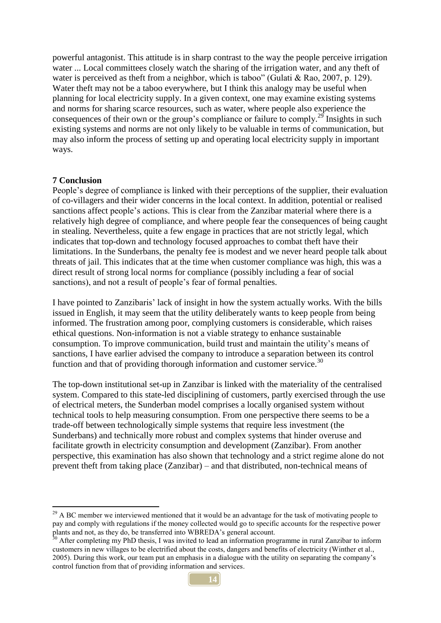powerful antagonist. This attitude is in sharp contrast to the way the people perceive irrigation water ... Local committees closely watch the sharing of the irrigation water, and any theft of water is perceived as theft from a neighbor, which is taboo" (Gulati & Rao, 2007, p. 129). Water theft may not be a taboo everywhere, but I think this analogy may be useful when planning for local electricity supply. In a given context, one may examine existing systems and norms for sharing scarce resources, such as water, where people also experience the consequences of their own or the group's compliance or failure to comply.<sup>29</sup> Insights in such existing systems and norms are not only likely to be valuable in terms of communication, but may also inform the process of setting up and operating local electricity supply in important ways.

#### **7 Conclusion**

 $\overline{a}$ 

People's degree of compliance is linked with their perceptions of the supplier, their evaluation of co-villagers and their wider concerns in the local context. In addition, potential or realised sanctions affect people's actions. This is clear from the Zanzibar material where there is a relatively high degree of compliance, and where people fear the consequences of being caught in stealing. Nevertheless, quite a few engage in practices that are not strictly legal, which indicates that top-down and technology focused approaches to combat theft have their limitations. In the Sunderbans, the penalty fee is modest and we never heard people talk about threats of jail. This indicates that at the time when customer compliance was high, this was a direct result of strong local norms for compliance (possibly including a fear of social sanctions), and not a result of people's fear of formal penalties.

I have pointed to Zanzibaris' lack of insight in how the system actually works. With the bills issued in English, it may seem that the utility deliberately wants to keep people from being informed. The frustration among poor, complying customers is considerable, which raises ethical questions. Non-information is not a viable strategy to enhance sustainable consumption. To improve communication, build trust and maintain the utility's means of sanctions, I have earlier advised the company to introduce a separation between its control function and that of providing thorough information and customer service.<sup>30</sup>

The top-down institutional set-up in Zanzibar is linked with the materiality of the centralised system. Compared to this state-led disciplining of customers, partly exercised through the use of electrical meters, the Sunderban model comprises a locally organised system without technical tools to help measuring consumption. From one perspective there seems to be a trade-off between technologically simple systems that require less investment (the Sunderbans) and technically more robust and complex systems that hinder overuse and facilitate growth in electricity consumption and development (Zanzibar). From another perspective, this examination has also shown that technology and a strict regime alone do not prevent theft from taking place (Zanzibar) – and that distributed, non-technical means of

<sup>&</sup>lt;sup>29</sup> A BC member we interviewed mentioned that it would be an advantage for the task of motivating people to pay and comply with regulations if the money collected would go to specific accounts for the respective power plants and not, as they do, be transferred into WBREDA's general account.

<sup>&</sup>lt;sup>3</sup> After completing my PhD thesis, I was invited to lead an information programme in rural Zanzibar to inform customers in new villages to be electrified about the costs, dangers and benefits of electricity (Winther et al., 2005). During this work, our team put an emphasis in a dialogue with the utility on separating the company's control function from that of providing information and services.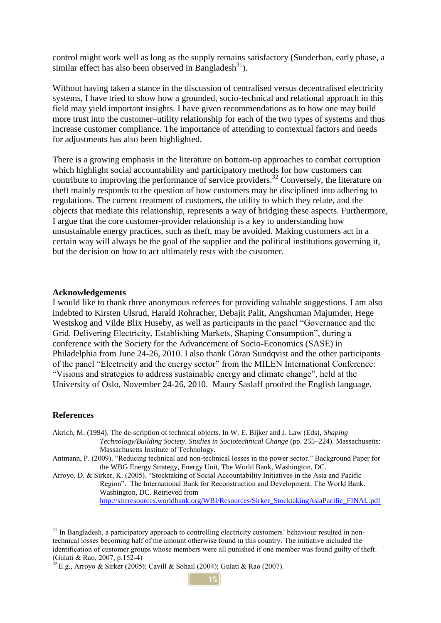control might work well as long as the supply remains satisfactory (Sunderban, early phase, a similar effect has also been observed in Bangladesh<sup>31</sup>).

Without having taken a stance in the discussion of centralised versus decentralised electricity systems, I have tried to show how a grounded, socio-technical and relational approach in this field may yield important insights. I have given recommendations as to how one may build more trust into the customer–utility relationship for each of the two types of systems and thus increase customer compliance. The importance of attending to contextual factors and needs for adjustments has also been highlighted.

There is a growing emphasis in the literature on bottom-up approaches to combat corruption which highlight social accountability and participatory methods for how customers can contribute to improving the performance of service providers.<sup>32</sup> Conversely, the literature on theft mainly responds to the question of how customers may be disciplined into adhering to regulations. The current treatment of customers, the utility to which they relate, and the objects that mediate this relationship, represents a way of bridging these aspects. Furthermore, I argue that the core customer-provider relationship is a key to understanding how unsustainable energy practices, such as theft, may be avoided. Making customers act in a certain way will always be the goal of the supplier and the political institutions governing it, but the decision on how to act ultimately rests with the customer.

## **Acknowledgements**

I would like to thank three anonymous referees for providing valuable suggestions. I am also indebted to Kirsten Ulsrud, Harald Rohracher, Debajit Palit, Angshuman Majumder, Hege Westskog and Vilde Blix Huseby, as well as participants in the panel "Governance and the Grid. Delivering Electricity, Establishing Markets, Shaping Consumption", during a conference with the Society for the Advancement of Socio-Economics (SASE) in Philadelphia from June 24-26, 2010. I also thank Göran Sundqvist and the other participants of the panel "Electricity and the energy sector" from the MILEN International Conference: "Visions and strategies to address sustainable energy and climate change", held at the University of Oslo, November 24-26, 2010. Maury Saslaff proofed the English language.

#### **References**

Akrich, M. (1994). The de-scription of technical objects. In W. E. Bijker and J. Law (Eds), *Shaping Technology/Building Society. Studies in Sociotechnical Change* (pp. 255–224). Massachusetts: Massachusetts Institute of Technology.

Antmann, P. (2009). "Reducing technical and non-technical losses in the power sector." Background Paper for the WBG Energy Strategy, Energy Unit, The World Bank, Washington, DC.

Arroyo, D. & Sirker, K. (2005). "Stocktaking of Social Accountability Initiatives in the Asia and Pacific Region". The International Bank for Reconstruction and Development, The World Bank. Washington, DC. Retrieved from [http://siteresources.worldbank.org/WBI/Resources/Sirker\\_StocktakingAsiaPacific\\_FINAL.pdf](http://siteresources.worldbank.org/WBI/Resources/Sirker_StocktakingAsiaPacific_FINAL.pdf)

<sup>&</sup>lt;sup>31</sup> In Bangladesh, a participatory approach to controlling electricity customers' behaviour resulted in nontechnical losses becoming half of the amount otherwise found in this country. The initiative included the identification of customer groups whose members were all punished if one member was found guilty of theft. (Gulati & Rao, 2007, p.152-4)

 $32$  E.g., Arroyo & Sirker (2005); Cavill & Sohail (2004); Gulati & Rao (2007).